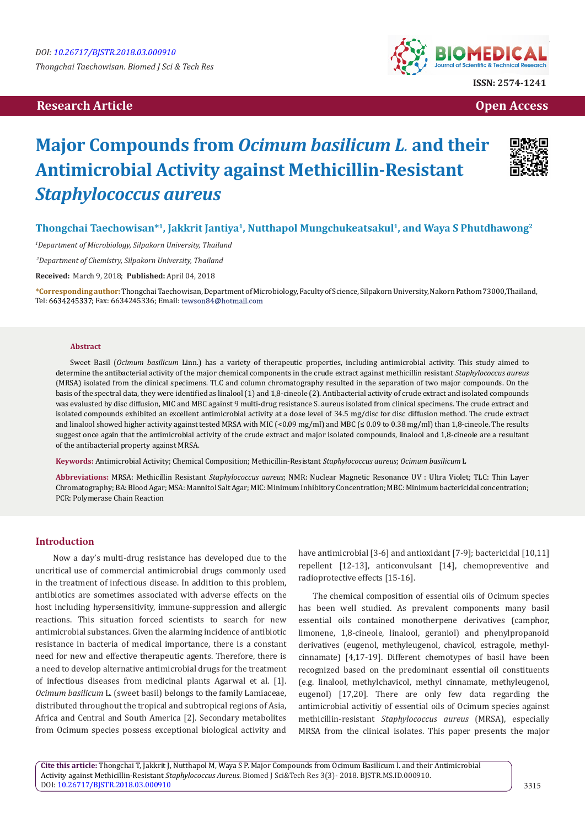# **Research Article Open Access Contract Article Open Access Open Access Open Access**



# **Major Compounds from** *Ocimum basilicum L.* **and their Antimicrobial Activity against Methicillin-Resistant**  *Staphylococcus aureus*



# **Thongchai Taechowisan\*1, Jakkrit Jantiya1, Nutthapol Mungchukeatsakul1, and Waya S Phutdhawong2**

*1 Department of Microbiology, Silpakorn University, Thailand*

 *2Department of Chemistry, Silpakorn University, Thailand*

**Received:** March 9, 2018; **Published:** April 04, 2018

**\*Corresponding author:** Thongchai Taechowisan, Department of Microbiology, Faculty of Science, Silpakorn University, Nakorn Pathom 73000,Thailand, Tel: 6634245337; Fax: 6634245336; Email: tewson84@hotmail.com

#### **Abstract**

Sweet Basil (*Ocimum basilicum* Linn.) has a variety of therapeutic properties, including antimicrobial activity. This study aimed to determine the antibacterial activity of the major chemical components in the crude extract against methicillin resistant *Staphylococcus aureus* (MRSA) isolated from the clinical specimens. TLC and column chromatography resulted in the separation of two major compounds. On the basis of the spectral data, they were identified as linalool (1) and 1,8-cineole (2). Antibacterial activity of crude extract and isolated compounds was evalusted by disc diffusion, MIC and MBC against 9 multi-drug resistance S. aureus isolated from clinical specimens. The crude extract and isolated compounds exhibited an excellent antimicrobial activity at a dose level of 34.5 mg/disc for disc diffusion method. The crude extract and linalool showed higher activity against tested MRSA with MIC (<0.09 mg/ml) and MBC (≤ 0.09 to 0.38 mg/ml) than 1,8-cineole. The results suggest once again that the antimicrobial activity of the crude extract and major isolated compounds, linalool and 1,8-cineole are a resultant of the antibacterial property against MRSA.

**Keywords:** Antimicrobial Activity; Chemical Composition; Methicillin-Resistant *Staphylococcus aureus*; *Ocimum basilicum* L

**Abbreviations:** MRSA: Methicillin Resistant *Staphylococcus aureus*; NMR: Nuclear Magnetic Resonance UV : Ultra Violet; TLC: Thin Layer Chromatography; BA: Blood Agar; MSA: Mannitol Salt Agar; MIC: Minimum Inhibitory Concentration; MBC: Minimum bactericidal concentration; PCR: Polymerase Chain Reaction

## **Introduction**

 Now a day's multi-drug resistance has developed due to the uncritical use of commercial antimicrobial drugs commonly used in the treatment of infectious disease. In addition to this problem, antibiotics are sometimes associated with adverse effects on the host including hypersensitivity, immune-suppression and allergic reactions. This situation forced scientists to search for new antimicrobial substances. Given the alarming incidence of antibiotic resistance in bacteria of medical importance, there is a constant need for new and effective therapeutic agents. Therefore, there is a need to develop alternative antimicrobial drugs for the treatment of infectious diseases from medicinal plants Agarwal et al. [1]. *Ocimum basilicum* L. (sweet basil) belongs to the family Lamiaceae, distributed throughout the tropical and subtropical regions of Asia, Africa and Central and South America [2]. Secondary metabolites from Ocimum species possess exceptional biological activity and have antimicrobial [3-6] and antioxidant [7-9]; bactericidal [10,11] repellent [12-13], anticonvulsant [14], chemopreventive and radioprotective effects [15-16].

The chemical composition of essential oils of Ocimum species has been well studied. As prevalent components many basil essential oils contained monotherpene derivatives (camphor, limonene, 1,8-cineole, linalool, geraniol) and phenylpropanoid derivatives (eugenol, methyleugenol, chavicol, estragole, methylcinnamate) [4,17-19]. Different chemotypes of basil have been recognized based on the predominant essential oil constituents (e.g. linalool, methylchavicol, methyl cinnamate, methyleugenol, eugenol) [17,20]. There are only few data regarding the antimicrobial activitiy of essential oils of Ocimum species against methicillin-resistant *Staphylococcus aureus* (MRSA), especially MRSA from the clinical isolates. This paper presents the major

**Cite this article:** Thongchai T, Jakkrit J, Nutthapol M, Waya S P. Major Compounds from Ocimum Basilicum l. and their Antimicrobial Activity against Methicillin-Resistant *Staphylococcus Aureus*. Biomed J Sci&Tech Res 3(3)- 2018. BJSTR.MS.ID.000910. DOI: [10.26717/BJSTR.2018.03.000910](http://dx.doi.org/10.26717/BJSTR.2018.03.000910)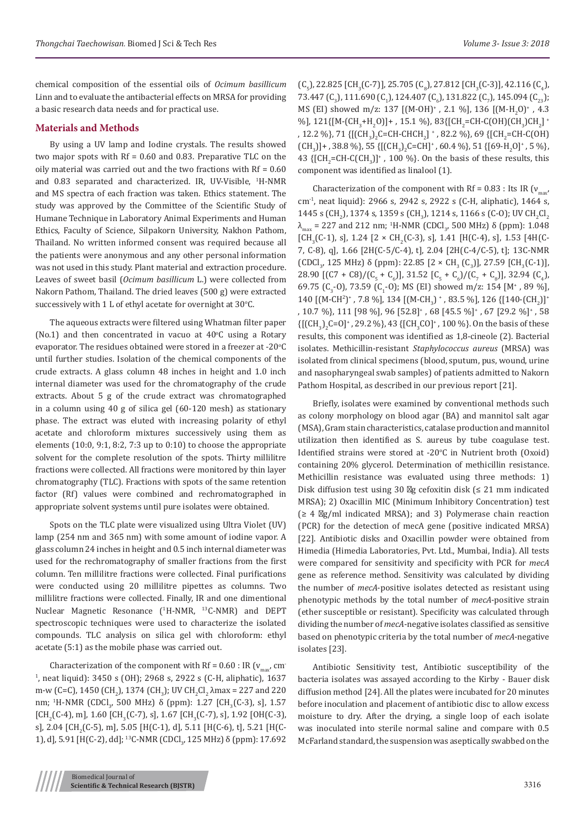chemical composition of the essential oils of *Ocimum basillicum* Linn and to evaluate the antibacterial effects on MRSA for providing a basic research data needs and for practical use.

## **Materials and Methods**

By using a UV lamp and Iodine crystals. The results showed two major spots with Rf = 0.60 and 0.83. Preparative TLC on the oily material was carried out and the two fractions with Rf = 0.60 and 0.83 separated and characterized. IR, UV-Visible, <sup>1</sup> H-NMR and MS spectra of each fraction was taken. Ethics statement. The study was approved by the Committee of the Scientific Study of Humane Technique in Laboratory Animal Experiments and Human Ethics, Faculty of Science, Silpakorn University, Nakhon Pathom, Thailand. No written informed consent was required because all the patients were anonymous and any other personal information was not used in this study. Plant material and extraction procedure. Leaves of sweet basil (*Ocimum basillicum* L.) were collected from Nakorn Pathom, Thailand. The dried leaves (500 g) were extracted successively with  $1$  L of ethyl acetate for overnight at  $30^{\circ}$ C.

The aqueous extracts were filtered using Whatman filter paper (No.1) and then concentrated in vacuo at  $40^{\circ}$ C using a Rotary evaporator. The residues obtained were stored in a freezer at -20 $\mathrm{^oC}$ until further studies. Isolation of the chemical components of the crude extracts. A glass column 48 inches in height and 1.0 inch internal diameter was used for the chromatography of the crude extracts. About 5 g of the crude extract was chromatographed in a column using 40 g of silica gel (60-120 mesh) as stationary phase. The extract was eluted with increasing polarity of ethyl acetate and chloroform mixtures successively using them as elements (10:0, 9:1, 8:2, 7:3 up to 0:10) to choose the appropriate solvent for the complete resolution of the spots. Thirty millilitre fractions were collected. All fractions were monitored by thin layer chromatography (TLC). Fractions with spots of the same retention factor (Rf) values were combined and rechromatographed in appropriate solvent systems until pure isolates were obtained.

Spots on the TLC plate were visualized using Ultra Violet (UV) lamp (254 nm and 365 nm) with some amount of iodine vapor. A glass column 24 inches in height and 0.5 inch internal diameter was used for the rechromatography of smaller fractions from the first column. Ten millilitre fractions were collected. Final purifications were conducted using 20 millilitre pipettes as columns. Two millilitre fractions were collected. Finally, IR and one dimentional Nuclear Magnetic Resonance (<sup>1</sup>H-NMR, <sup>13</sup>C-NMR) and DEPT spectroscopic techniques were used to characterize the isolated compounds. TLC analysis on silica gel with chloroform: ethyl acetate (5:1) as the mobile phase was carried out.

Characterization of the component with Rf =  $0.60$  : IR ( $v_{\text{max}}$ , cm-1 , neat liquid): 3450 s (OH); 2968 s, 2922 s (C-H, aliphatic), 1637 m-w (C=C), 1450 (CH<sub>2</sub>), 1374 (CH<sub>3</sub>); UV CH<sub>2</sub>Cl<sub>2</sub>  $\lambda$ max = 227 and 220 nm; <sup>1</sup>H-NMR (CDCl<sub>3</sub>, 500 MHz) δ (ppm): 1.27 [CH<sub>3</sub>(C-3), s], 1.57  $[CH_2(C-4), m]$ , 1.60  $[CH_3(C-7), s]$ , 1.67  $[CH_3(C-7), s]$ , 1.92  $[OH(C-3),$ s], 2.04 [CH<sub>2</sub>(C-5), m], 5.05 [H(C-1), d], 5.11 [H(C-6), t], 5.21 [H(C-1), d], 5.91 [H(C-2), dd]; <sup>13</sup>C-NMR (CDCl<sub>3</sub>, 125 MHz) δ (ppm): 17.692  $(C_5)$ , 22.825 [CH<sub>3</sub>(C-7)], 25.705 (C<sub>8</sub>), 27.812 [CH<sub>3</sub>(C-3)], 42.116 (C<sub>4</sub>), 73.447  $(C_3)$ , 111.690  $(C_1)$ , 124.407  $(C_6)$ , 131.822  $(C_7)$ , 145.094  $(C_{23})$ ; MS (EI) showed m/z: 137 [(M-OH)<sup>+</sup>, 2.1 %], 136 [(M-H<sub>2</sub>O)<sup>+</sup>, 4.3 %], 121{[M-(CH<sub>3</sub>+H<sub>2</sub>O)]+ , 15.1 %}, 83{[CH<sub>2</sub>=CH-C(OH)(CH<sub>3</sub>)CH<sub>2</sub>]\* , 12.2 %}, 71 {[(CH<sub>3</sub>)<sub>2</sub>C=CH-CHCH<sub>2</sub>] \* , 82.2 %}, 69 {[CH<sub>2</sub>=CH-C(OH)  $[CH_3]$  + , 38.8 %}, 55 { $[CH_3]$ <sub>2</sub>C=CH]<sup>+</sup>, 60.4 %}, 51 { $[69-H_2O]$ <sup>+</sup>, 5 %}, 43  $\{[CH_2=CH-C(CH_3)]^+$ , 100 %}. On the basis of these results, this component was identified as linalool (1).

Characterization of the component with Rf =  $0.83$  : Its IR ( $v_{\text{max}}$ ) cm-1, neat liquid): 2966 s, 2942 s, 2922 s (C-H, aliphatic), 1464 s, 1445 s (CH<sub>2</sub>), 1374 s, 1359 s (CH<sub>3</sub>), 1214 s, 1166 s (C-O); UV CH<sub>2</sub>Cl<sub>2</sub>  $λ_{max}$  = 227 and 212 nm; <sup>1</sup>H-NMR (CDCl<sub>3</sub>, 500 MHz) δ (ppm): 1.048 [CH<sub>3</sub>(C-1), s], 1.24 [2 × CH<sub>2</sub>(C-3), s], 1.41 [H(C-4), s], 1.53 [4H(C-7, C-8), q], 1.66 [2H(C-5/C-4), t], 2.04 [2H(C-4/C-5), t]; 13C-NMR (CDCI<sub>3</sub>, 125 MHz) δ (ppm): 22.85 [2 × CH<sub>3</sub> (C<sub>3</sub>)], 27.59 [CH<sub>3</sub>(C-1)],  $28.90$  [(C/ + C8)/(C<sub>5</sub> + C<sub>6</sub>)], 31.52 [C<sub>5</sub> + C<sub>6</sub>)/(C<sub>7</sub> + C<sub>8</sub>)], 32.94 (C<sub>4</sub>), 69.75 (C<sub>3</sub>-O), 73.59 (C<sub>1</sub>-O); MS (EI) showed m/z: 154 [M<sup>+</sup>, 89 %], 140 [(M-CH<sup>2</sup>)<sup>+</sup>, 7.8 %], 134 [(M-CH<sub>3</sub>) <sup>+</sup>, 83.5 %], 126 {[140-(CH<sub>2</sub>)]<sup>+</sup> , 10.7 %}, 111 [98 %], 96 [52.8]+ , 68 [45.5 %]<sup>+</sup> , 67 [29.2 %]<sup>+</sup> , 58  ${([CH_3)_2C=O]^+}$ , 29.2 %}, 43  ${[CH_3CO]^+}$ , 100 %}. On the basis of these results, this component was identified as 1,8-cineole (2). Bacterial isolates. Methicillin-resistant *Staphylococcus aureus* (MRSA) was isolated from clinical specimens (blood, sputum, pus, wound, urine and nasopharyngeal swab samples) of patients admitted to Nakorn Pathom Hospital, as described in our previous report [21].

Briefly, isolates were examined by conventional methods such as colony morphology on blood agar (BA) and mannitol salt agar (MSA), Gram stain characteristics, catalase production and mannitol utilization then identified as S. aureus by tube coagulase test. Identified strains were stored at -20°C in Nutrient broth (Oxoid) containing 20% glycerol. Determination of methicillin resistance. Methicillin resistance was evaluated using three methods: 1) Disk diffusion test using 30 g cefoxitin disk  $\leq 21$  mm indicated MRSA); 2) Oxacillin MIC (Minimum Inhibitory Concentration) test  $\geq 4$  g/ml indicated MRSA); and 3) Polymerase chain reaction (PCR) for the detection of mecA gene (positive indicated MRSA) [22]. Antibiotic disks and Oxacillin powder were obtained from Himedia (Himedia Laboratories, Pvt. Ltd., Mumbai, India). All tests were compared for sensitivity and specificity with PCR for *mecA* gene as reference method. Sensitivity was calculated by dividing the number of *mecA*-positive isolates detected as resistant using phenotypic methods by the total number of *mecA*-positive strain (ether susceptible or resistant). Specificity was calculated through dividing the number of *mecA*-negative isolates classified as sensitive based on phenotypic criteria by the total number of *mecA*-negative isolates [23].

Antibiotic Sensitivity test, Antibiotic susceptibility of the bacteria isolates was assayed according to the Kirby - Bauer disk diffusion method [24]. All the plates were incubated for 20 minutes before inoculation and placement of antibiotic disc to allow excess moisture to dry. After the drying, a single loop of each isolate was inoculated into sterile normal saline and compare with 0.5 McFarland standard, the suspension was aseptically swabbed on the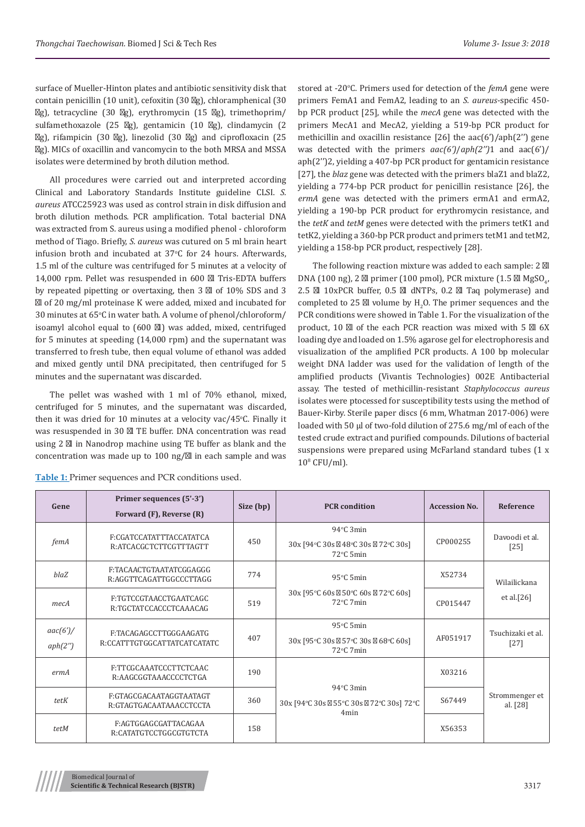surface of Mueller-Hinton plates and antibiotic sensitivity disk that contain penicillin (10 unit), cefoxitin (30 g), chloramphenical (30 g), tetracycline (30 g), erythromycin (15 g), trimethoprim/ sulfamethoxazole (25 g), gentamicin (10 g), clindamycin (2 g), rifampicin (30 g), linezolid (30 g) and ciprofloxacin (25 g). MICs of oxacillin and vancomycin to the both MRSA and MSSA isolates were determined by broth dilution method.

All procedures were carried out and interpreted according Clinical and Laboratory Standards Institute guideline CLSI. *S. aureus* ATCC25923 was used as control strain in disk diffusion and broth dilution methods. PCR amplification. Total bacterial DNA was extracted from S. aureus using a modified phenol - chloroform method of Tiago. Briefly, *S. aureus* was cutured on 5 ml brain heart infusion broth and incubated at  $37^{\circ}$ C for 24 hours. Afterwards, 1.5 ml of the culture was centrifuged for 5 minutes at a velocity of 14,000 rpm. Pellet was resuspended in 600 l Tris-EDTA buffers by repeated pipetting or overtaxing, then 3 l of 10% SDS and 3 l of 20 mg/ml proteinase K were added, mixed and incubated for 30 minutes at 65°C in water bath. A volume of phenol/chloroform/ isoamyl alcohol equal to (600 l) was added, mixed, centrifuged for 5 minutes at speeding (14,000 rpm) and the supernatant was transferred to fresh tube, then equal volume of ethanol was added and mixed gently until DNA precipitated, then centrifuged for 5 minutes and the supernatant was discarded.

The pellet was washed with 1 ml of 70% ethanol, mixed, centrifuged for 5 minutes, and the supernatant was discarded, then it was dried for  $10$  minutes at a velocity vac/45°C. Finally it was resuspended in 30 l TE buffer. DNA concentration was read using 2 l in Nanodrop machine using TE buffer as blank and the concentration was made up to 100 ng/ l in each sample and was

stored at -20°C. Primers used for detection of the *femA* gene were primers FemA1 and FemA2, leading to an *S. aureus*-specific 450 bp PCR product [25], while the *mecA* gene was detected with the primers MecA1 and MecA2, yielding a 519-bp PCR product for methicillin and oxacillin resistance [26] the aac(6')/aph(2'') gene was detected with the primers *aac(6')*/*aph(2'')*1 and aac(6')/ aph(2'')2, yielding a 407-bp PCR product for gentamicin resistance [27], the *blaz* gene was detected with the primers blaZ1 and blaZ2, yielding a 774-bp PCR product for penicillin resistance [26], the *ermA* gene was detected with the primers ermA1 and ermA2, yielding a 190-bp PCR product for erythromycin resistance, and the *tetK* and *tetM* genes were detected with the primers tetK1 and tetK2, yielding a 360-bp PCR product and primers tetM1 and tetM2, yielding a 158-bp PCR product, respectively [28].

The following reaction mixture was added to each sample: 2 l DNA (100 ng), 2 1 primer (100 pmol), PCR mixture (1.5 1 MgSO<sub>4</sub>, 2.5 l 10xPCR buffer, 0.5 l dNTPs, 0.2 l Taq polymerase) and completed to  $25$  I volume by  $H_2O$ . The primer sequences and the PCR conditions were showed in Table 1. For the visualization of the product, 10 l of the each PCR reaction was mixed with 5 l 6X loading dye and loaded on 1.5% agarose gel for electrophoresis and visualization of the amplified PCR products. A 100 bp molecular weight DNA ladder was used for the validation of length of the amplified products (Vivantis Technologies) 002E Antibacterial assay. The tested of methicillin-resistant *Staphylococcus aureus*  isolates were ptocessed for susceptibility tests using the method of Bauer-Kirby. Sterile paper discs (6 mm, Whatman 2017-006) were loaded with 50 µl of two-fold dilution of 275.6 mg/ml of each of the tested crude extract and purified compounds. Dilutions of bacterial suspensions were prepared using McFarland standard tubes (1 x  $10^8$  CFU/ml).

| Gene                        | Primer sequences (5'-3')<br>Forward (F), Reverse (R)  | Size (bp) | <b>PCR</b> condition                                                            | <b>Accession No.</b> | <b>Reference</b>              |
|-----------------------------|-------------------------------------------------------|-----------|---------------------------------------------------------------------------------|----------------------|-------------------------------|
| femA                        | F:CGATCCATATTTACCATATCA<br>R:ATCACGCTCTTCGTTTAGTT     | 450       | 94°C 3min<br>30x [94°C 30s 48°C 30s 72°C 30s]<br>72°C 5min                      | CP000255             | Davoodi et al.<br>$[25]$      |
| blaZ                        | F.TACAACTGTAATATCGGAGGG<br>R:AGGTTCAGATTGGCCCTTAGG    | 774       | $95^{\circ}$ C 5min                                                             | X52734               | Wilailickana<br>et al. $[26]$ |
| mecA                        | F:TGTCCGTAACCTGAATCAGC<br>R:TGCTATCCACCCTCAAACAG      | 519       | 30x [95°C 60s 50°C 60s 72°C 60s]<br>72°C 7min                                   | CP015447             |                               |
| $\arccan(6')$ /<br>aph(2'') | F:TACAGAGCCTTGGGAAGATG<br>R:CCATTTGTGGCATTATCATCATATC | 407       | $95^{\circ}$ C 5min<br>30x [95°C 30s 57°C 30s 68°C 60s]<br>$72^{\circ}$ C 7 min | AF051917             | Tsuchizaki et al.<br>$[27]$   |
| ermA                        | F:TTCGCAAATCCCTTCTCAAC<br>R:AAGCGGTAAACCCCTCTGA       | 190       |                                                                                 | X03216               |                               |
| tetK                        | F:GTAGCGACAATAGGTAATAGT<br>R:GTAGTGACAATAAACCTCCTA    | 360       | 94°C 3min<br>$30x$ [94 °C 30s 55 °C 30s<br>72°C 30s] 72°C<br>4 <sub>min</sub>   | S67449               | Strommenger et<br>al. [28]    |
| tetM                        | F:AGTGGAGCGATTACAGAA<br>R:CATATGTCCTGGCGTGTCTA        | 158       |                                                                                 | X56353               |                               |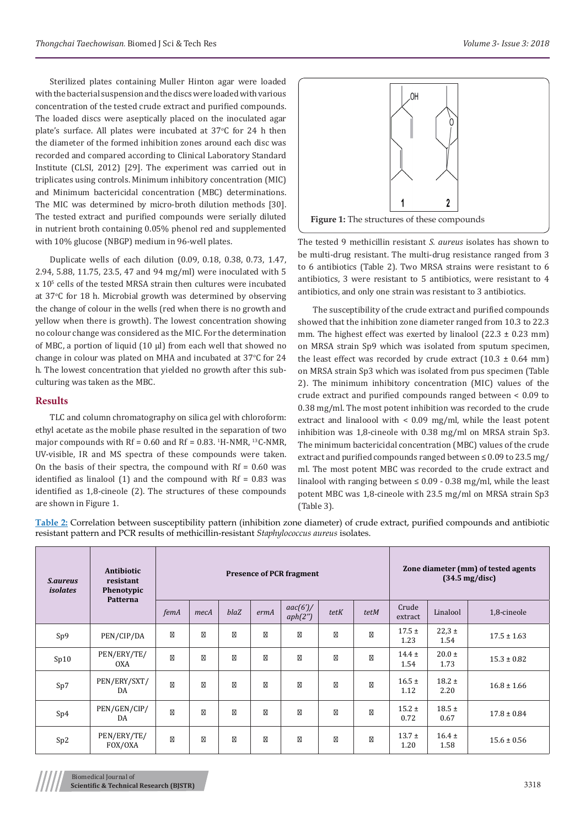Sterilized plates containing Muller Hinton agar were loaded with the bacterial suspension and the discs were loaded with various concentration of the tested crude extract and purified compounds. The loaded discs were aseptically placed on the inoculated agar plate's surface. All plates were incubated at  $37^{\circ}$ C for 24 h then the diameter of the formed inhibition zones around each disc was recorded and compared according to Clinical Laboratory Standard Institute (CLSI, 2012) [29]. The experiment was carried out in triplicates using controls. Minimum inhibitory concentration (MIC) and Minimum bactericidal concentration (MBC) determinations. The MIC was determined by micro-broth dilution methods [30]. The tested extract and purified compounds were serially diluted in nutrient broth containing 0.05% phenol red and supplemented with 10% glucose (NBGP) medium in 96-well plates.

Duplicate wells of each dilution (0.09, 0.18, 0.38, 0.73, 1.47, 2.94, 5.88, 11.75, 23.5, 47 and 94 mg/ml) were inoculated with 5 x 105 cells of the tested MRSA strain then cultures were incubated at 37°C for 18 h. Microbial growth was determined by observing the change of colour in the wells (red when there is no growth and yellow when there is growth). The lowest concentration showing no colour change was considered as the MIC. For the determination of MBC, a portion of liquid (10 µl) from each well that showed no change in colour was plated on MHA and incubated at 37°C for 24 h. The lowest concentration that yielded no growth after this subculturing was taken as the MBC.

#### **Results**

TLC and column chromatography on silica gel with chloroform: ethyl acetate as the mobile phase resulted in the separation of two major compounds with  $Rf = 0.60$  and  $Rf = 0.83$ .  $H-MMR$ ,  $H^3C-NMR$ , UV-visible, IR and MS spectra of these compounds were taken. On the basis of their spectra, the compound with  $Rf = 0.60$  was identified as linalool  $(1)$  and the compound with Rf = 0.83 was identified as 1,8-cineole (2). The structures of these compounds are shown in Figure 1.



The tested 9 methicillin resistant *S. aureus* isolates has shown to be multi-drug resistant. The multi-drug resistance ranged from 3 to 6 antibiotics (Table 2). Two MRSA strains were resistant to 6 antibiotics, 3 were resistant to 5 antibiotics, were resistant to 4 antibiotics, and only one strain was resistant to 3 antibiotics.

The susceptibility of the crude extract and purified compounds showed that the inhibition zone diameter ranged from 10.3 to 22.3 mm. The highest effect was exerted by linalool  $(22.3 \pm 0.23 \text{ mm})$ on MRSA strain Sp9 which was isolated from sputum specimen, the least effect was recorded by crude extract  $(10.3 \pm 0.64 \text{ mm})$ on MRSA strain Sp3 which was isolated from pus specimen (Table 2). The minimum inhibitory concentration (MIC) values of the crude extract and purified compounds ranged between < 0.09 to 0.38 mg/ml. The most potent inhibition was recorded to the crude extract and linaloool with < 0.09 mg/ml, while the least potent inhibition was 1,8-cineole with 0.38 mg/ml on MRSA strain Sp3. The minimum bactericidal concentration (MBC) values of the crude extract and purified compounds ranged between  $\leq 0.09$  to 23.5 mg/ ml. The most potent MBC was recorded to the crude extract and linalool with ranging between  $\leq 0.09 - 0.38$  mg/ml, while the least potent MBC was 1,8-cineole with 23.5 mg/ml on MRSA strain Sp3 (Table 3).

**Table 2:** Correlation between susceptibility pattern (inhibition zone diameter) of crude extract, purified compounds and antibiotic resistant pattern and PCR results of methicillin-resistant *Staphylococcus aureus* isolates.

| <i>S.aureus</i><br>isolates | Antibiotic<br>resistant<br>Phenotypic<br>Patterna | <b>Presence of PCR fragment</b> |      |      |      |                     |      |      | Zone diameter (mm) of tested agents<br>$(34.5 \text{ mg/disc})$ |                    |                 |
|-----------------------------|---------------------------------------------------|---------------------------------|------|------|------|---------------------|------|------|-----------------------------------------------------------------|--------------------|-----------------|
|                             |                                                   | femA                            | mecA | blaZ | ermA | aac(6')/<br>aph(2") | tetK | tetM | Crude<br>extract                                                | Linalool           | 1,8-cineole     |
| Sp9                         | PEN/CIP/DA                                        |                                 |      |      |      |                     |      |      | $17.5 \pm$<br>1.23                                              | $22,3 \pm$<br>1.54 | $17.5 \pm 1.63$ |
| Sp10                        | PEN/ERY/TE/<br>OXA                                |                                 |      |      |      |                     |      |      | $14.4 \pm$<br>1.54                                              | $20.0 \pm$<br>1.73 | $15.3 \pm 0.82$ |
| Sp7                         | PEN/ERY/SXT/<br>DA                                |                                 |      |      |      |                     |      |      | $16.5 \pm$<br>1.12                                              | $18.2 \pm$<br>2.20 | $16.8 \pm 1.66$ |
| Sp4                         | PEN/GEN/CIP/<br>DA                                |                                 |      |      |      |                     |      |      | $15.2 \pm$<br>0.72                                              | $18.5 \pm$<br>0.67 | $17.8 \pm 0.84$ |
| Sp2                         | PEN/ERY/TE/<br>FOX/OXA                            |                                 |      |      |      |                     |      |      | $13.7 \pm$<br>1.20                                              | $16.4 \pm$<br>1.58 | $15.6 \pm 0.56$ |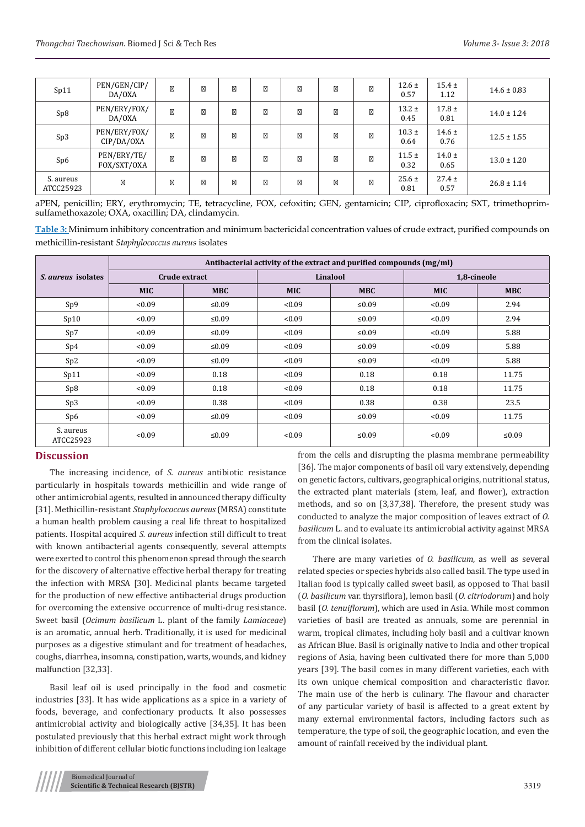| Sp11                   | PEN/GEN/CIP/<br>DA/OXA     |  |  |  | $12.6 \pm$<br>0.57 | $15.4 \pm$<br>1.12 | $14.6 \pm 0.83$ |
|------------------------|----------------------------|--|--|--|--------------------|--------------------|-----------------|
| Sp8                    | PEN/ERY/FOX/<br>DA/OXA     |  |  |  | $13.2 \pm$<br>0.45 | $17.8 \pm$<br>0.81 | $14.0 \pm 1.24$ |
| Sp3                    | PEN/ERY/FOX/<br>CIP/DA/OXA |  |  |  | $10.3 \pm$<br>0.64 | $14.6 \pm$<br>0.76 | $12.5 \pm 1.55$ |
| Sp6                    | PEN/ERY/TE/<br>FOX/SXT/OXA |  |  |  | $11.5 \pm$<br>0.32 | $14.0 \pm$<br>0.65 | $13.0 \pm 1.20$ |
| S. aureus<br>ATCC25923 |                            |  |  |  | $25.6 \pm$<br>0.81 | $27.4 \pm$<br>0.57 | $26.8 \pm 1.14$ |

aPEN, penicillin; ERY, erythromycin; TE, tetracycline, FOX, cefoxitin; GEN, gentamicin; CIP, ciprofloxacin; SXT, trimethoprimsulfamethoxazole; OXA, oxacillin; DA, clindamycin.

**Table 3:** Minimum inhibitory concentration and minimum bactericidal concentration values of crude extract, purified compounds on methicillin-resistant *Staphylococcus aureus* isolates

|                           | Antibacterial activity of the extract and purified compounds (mg/ml) |               |            |            |             |            |  |  |  |  |  |
|---------------------------|----------------------------------------------------------------------|---------------|------------|------------|-------------|------------|--|--|--|--|--|
| <i>S. aureus</i> isolates |                                                                      | Crude extract |            | Linalool   | 1,8-cineole |            |  |  |  |  |  |
|                           | <b>MIC</b>                                                           | <b>MBC</b>    | <b>MIC</b> | <b>MBC</b> | <b>MIC</b>  | <b>MBC</b> |  |  |  |  |  |
| Sp9                       | <0.09                                                                | ≤ $0.09$      | < 0.09     | $≤0.09$    | < 0.09      | 2.94       |  |  |  |  |  |
| Sp10                      | < 0.09                                                               | $\leq 0.09$   | <0.09      | ≤ $0.09$   | < 0.09      | 2.94       |  |  |  |  |  |
| Sp7                       | < 0.09                                                               | ≤ $0.09$      | < 0.09     | $≤0.09$    | <0.09       | 5.88       |  |  |  |  |  |
| Sp4                       | < 0.09                                                               | ≤ $0.09$      | < 0.09     | $≤0.09$    | < 0.09      | 5.88       |  |  |  |  |  |
| Sp2                       | < 0.09                                                               | $\leq 0.09$   | < 0.09     | ≤ $0.09$   | < 0.09      | 5.88       |  |  |  |  |  |
| Sp11                      | < 0.09                                                               | 0.18          | < 0.09     | 0.18       | 0.18        | 11.75      |  |  |  |  |  |
| Sp8                       | < 0.09                                                               | 0.18          | < 0.09     | 0.18       | 0.18        | 11.75      |  |  |  |  |  |
| Sp3                       | <0.09                                                                | 0.38          | < 0.09     | 0.38       | 0.38        | 23.5       |  |  |  |  |  |
| Sp6                       | < 0.09                                                               | ≤ $0.09$      | < 0.09     | ≤ $0.09$   | < 0.09      | 11.75      |  |  |  |  |  |
| S. aureus<br>ATCC25923    | <0.09                                                                | ≤ $0.09$      | <0.09      | ≤ $0.09$   | < 0.09      | ≤ $0.09$   |  |  |  |  |  |

# **Discussion**

The increasing incidence, of *S. aureus* antibiotic resistance particularly in hospitals towards methicillin and wide range of other antimicrobial agents, resulted in announced therapy difficulty [31]. Methicillin-resistant *Staphylococcus aureus* (MRSA) constitute a human health problem causing a real life threat to hospitalized patients. Hospital acquired *S. aureus* infection still difficult to treat with known antibacterial agents consequently, several attempts were exerted to control this phenomenon spread through the search for the discovery of alternative effective herbal therapy for treating the infection with MRSA [30]. Medicinal plants became targeted for the production of new effective antibacterial drugs production for overcoming the extensive occurrence of multi-drug resistance. Sweet basil (*Ocimum basilicum* L. plant of the family *Lamiaceae*) is an aromatic, annual herb. Traditionally, it is used for medicinal purposes as a digestive stimulant and for treatment of headaches, coughs, diarrhea, insomna, constipation, warts, wounds, and kidney malfunction [32,33].

Basil leaf oil is used principally in the food and cosmetic industries [33]. It has wide applications as a spice in a variety of foods, beverage, and confectionary products. It also possesses antimicrobial activity and biologically active [34,35]. It has been postulated previously that this herbal extract might work through inhibition of different cellular biotic functions including ion leakage

from the cells and disrupting the plasma membrane permeability [36]. The major components of basil oil vary extensively, depending on genetic factors, cultivars, geographical origins, nutritional status, the extracted plant materials (stem, leaf, and flower), extraction methods, and so on [3,37,38]. Therefore, the present study was conducted to analyze the major composition of leaves extract of *O. basilicum* L. and to evaluate its antimicrobial activity against MRSA from the clinical isolates.

There are many varieties of *O. basilicum*, as well as several related species or species hybrids also called basil. The type used in Italian food is typically called sweet basil, as opposed to Thai basil (*O. basilicum* var. thyrsiflora), lemon basil (*O. citriodorum*) and holy basil (*O. tenuiflorum*), which are used in Asia. While most common varieties of basil are treated as annuals, some are perennial in warm, tropical climates, including holy basil and a cultivar known as African Blue. Basil is originally native to India and other tropical regions of Asia, having been cultivated there for more than 5,000 years [39]. The basil comes in many different varieties, each with its own unique chemical composition and characteristic flavor. The main use of the herb is culinary. The flavour and character of any particular variety of basil is affected to a great extent by many external environmental factors, including factors such as temperature, the type of soil, the geographic location, and even the amount of rainfall received by the individual plant.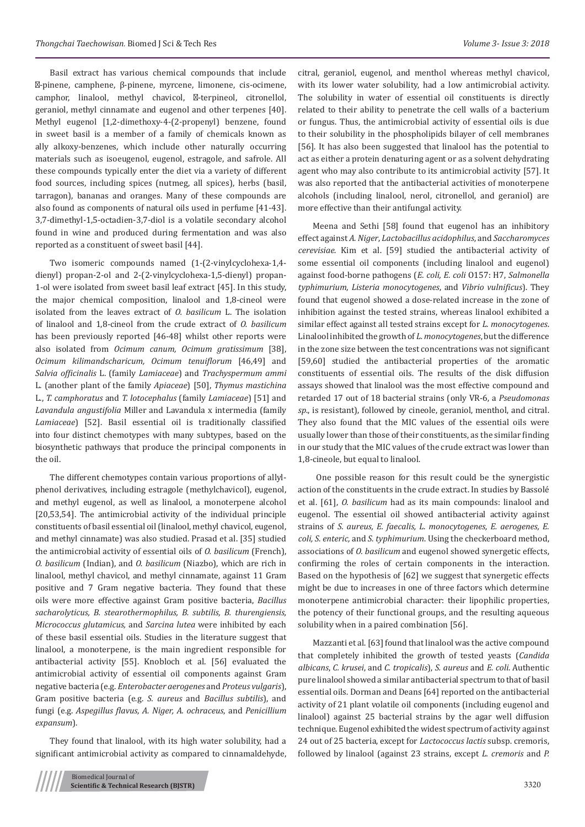Basil extract has various chemical compounds that include -pinene, camphene, β-pinene, myrcene, limonene, cis-ocimene, camphor, linalool, methyl chavicol, -terpineol, citronellol, geraniol, methyl cinnamate and eugenol and other terpenes [40]. Methyl eugenol [1,2-dimethoxy-4-(2-propenyl) benzene, found in sweet basil is a member of a family of chemicals known as ally alkoxy-benzenes, which include other naturally occurring materials such as isoeugenol, eugenol, estragole, and safrole. All these compounds typically enter the diet via a variety of different food sources, including spices (nutmeg, all spices), herbs (basil, tarragon), bananas and oranges. Many of these compounds are also found as components of natural oils used in perfume [41-43]. 3,7-dimethyl-1,5-octadien-3,7-diol is a volatile secondary alcohol found in wine and produced during fermentation and was also reported as a constituent of sweet basil [44].

Two isomeric compounds named (1-(2-vinylcyclohexa-1,4 dienyl) propan-2-ol and 2-(2-vinylcyclohexa-1,5-dienyl) propan-1-ol were isolated from sweet basil leaf extract [45]. In this study, the major chemical composition, linalool and 1,8-cineol were isolated from the leaves extract of *O. basilicum* L. The isolation of linalool and 1,8-cineol from the crude extract of *O. basilicum* has been previously reported [46-48] whilst other reports were also isolated from *Ocimum canum, Ocimum gratissimum* [38], *Ocimum kilimandscharicum, Ocimum tenuiflorum* [46,49] and *Salvia officinalis* L. (family *Lamiaceae*) and *Trachyspermum ammi* L. (another plant of the family *Apiaceae*) [50], *Thymus mastichina* L., *T. camphoratus* and *T. lotocephalus* (family *Lamiaceae*) [51] and *Lavandula angustifolia* Miller and Lavandula x intermedia (family *Lamiaceae*) [52]. Basil essential oil is traditionally classified into four distinct chemotypes with many subtypes, based on the biosynthetic pathways that produce the principal components in the oil.

The different chemotypes contain various proportions of allylphenol derivatives, including estragole (methylchavicol), eugenol, and methyl eugenol, as well as linalool, a monoterpene alcohol [20,53,54]. The antimicrobial activity of the individual principle constituents of basil essential oil (linalool, methyl chavicol, eugenol, and methyl cinnamate) was also studied. Prasad et al. [35] studied the antimicrobial activity of essential oils of *O. basilicum* (French), *O. basilicum* (Indian), and *O. basilicum* (Niazbo), which are rich in linalool, methyl chavicol, and methyl cinnamate, against 11 Gram positive and 7 Gram negative bacteria. They found that these oils were more effective against Gram positive bacteria, *Bacillus sacharolyticus, B. stearothermophilus, B. subtilis, B. thurengiensis, Micrococcus glutamicus,* and *Sarcina lutea* were inhibited by each of these basil essential oils. Studies in the literature suggest that linalool, a monoterpene, is the main ingredient responsible for antibacterial activity [55]. Knobloch et al. [56] evaluated the antimicrobial activity of essential oil components against Gram negative bacteria (e.g. *Enterobacter aerogenes* and *Proteus vulgaris*), Gram positive bacteria (e.g. *S. aureus* and *Bacillus subtilis*), and fungi (e.g. *Aspegillus flavus, A. Niger, A. ochraceus*, and *Penicillium expansum*).

They found that linalool, with its high water solubility, had a significant antimicrobial activity as compared to cinnamaldehyde, citral, geraniol, eugenol, and menthol whereas methyl chavicol, with its lower water solubility, had a low antimicrobial activity. The solubility in water of essential oil constituents is directly related to their ability to penetrate the cell walls of a bacterium or fungus. Thus, the antimicrobial activity of essential oils is due to their solubility in the phospholipids bilayer of cell membranes [56]. It has also been suggested that linalool has the potential to act as either a protein denaturing agent or as a solvent dehydrating agent who may also contribute to its antimicrobial activity [57]. It was also reported that the antibacterial activities of monoterpene alcohols (including linalool, nerol, citronellol, and geraniol) are more effective than their antifungal activity.

Meena and Sethi [58] found that eugenol has an inhibitory effect against *A. Niger*, *Lactobacillus acidophilus*, and *Saccharomyces cerevisiae*. Kim et al. [59] studied the antibacterial activity of some essential oil components (including linalool and eugenol) against food-borne pathogens (*E. coli, E. coli* O157: H7, *Salmonella typhimurium, Listeria monocytogenes*, and *Vibrio vulnificus*). They found that eugenol showed a dose-related increase in the zone of inhibition against the tested strains, whereas linalool exhibited a similar effect against all tested strains except for *L. monocytogenes*. Linalool inhibited the growth of *L. monocytogenes*, but the difference in the zone size between the test concentrations was not significant [59,60] studied the antibacterial properties of the aromatic constituents of essential oils. The results of the disk diffusion assays showed that linalool was the most effective compound and retarded 17 out of 18 bacterial strains (only VR-6, a *Pseudomonas sp*., is resistant), followed by cineole, geraniol, menthol, and citral. They also found that the MIC values of the essential oils were usually lower than those of their constituents, as the similar finding in our study that the MIC values of the crude extract was lower than 1,8-cineole, but equal to linalool.

 One possible reason for this result could be the synergistic action of the constituents in the crude extract. In studies by Bassolé et al. [61], *O. basilicum* had as its main compounds: linalool and eugenol. The essential oil showed antibacterial activity against strains of *S. aureus, E. faecalis, L. monocytogenes, E. aerogenes, E. coli, S. enteric,* and *S. typhimurium*. Using the checkerboard method, associations of *O. basilicum* and eugenol showed synergetic effects, confirming the roles of certain components in the interaction. Based on the hypothesis of [62] we suggest that synergetic effects might be due to increases in one of three factors which determine monoterpene antimicrobial character: their lipophilic properties, the potency of their functional groups, and the resulting aqueous solubility when in a paired combination [56].

Mazzanti et al. [63] found that linalool was the active compound that completely inhibited the growth of tested yeasts (*Candida albicans*, *C. krusei*, and *C. tropicalis*), *S. aureus* and *E. coli*. Authentic pure linalool showed a similar antibacterial spectrum to that of basil essential oils. Dorman and Deans [64] reported on the antibacterial activity of 21 plant volatile oil components (including eugenol and linalool) against 25 bacterial strains by the agar well diffusion technique. Eugenol exhibited the widest spectrum of activity against 24 out of 25 bacteria, except for *Lactococcus lactis* subsp. cremoris, followed by linalool (against 23 strains, except *L. cremoris* and *P.*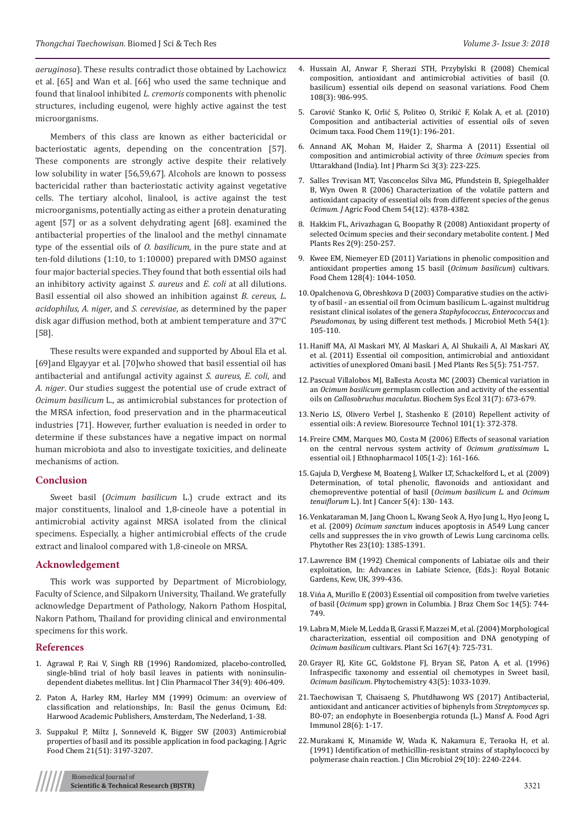*aeruginosa*). These results contradict those obtained by Lachowicz et al. [65] and Wan et al. [66] who used the same technique and found that linalool inhibited *L. cremoris* components with phenolic structures, including eugenol, were highly active against the test microorganisms.

Members of this class are known as either bactericidal or bacteriostatic agents, depending on the concentration [57]. These components are strongly active despite their relatively low solubility in water [56,59,67]. Alcohols are known to possess bactericidal rather than bacteriostatic activity against vegetative cells. The tertiary alcohol, linalool, is active against the test microorganisms, potentially acting as either a protein denaturating agent [57] or as a solvent dehydrating agent [68]. examined the antibacterial properties of the linalool and the methyl cinnamate type of the essential oils of *O. basilicum*, in the pure state and at ten-fold dilutions (1:10, to 1:10000) prepared with DMSO against four major bacterial species. They found that both essential oils had an inhibitory activity against *S. aureus* and *E. coli* at all dilutions. Basil essential oil also showed an inhibition against *B. cereus*, *L. acidophilus, A. niger*, and *S. cerevisiae*, as determined by the paper disk agar diffusion method, both at ambient temperature and 37°C [58].

These results were expanded and supported by Aboul Ela et al. [69]and Elgayyar et al. [70]who showed that basil essential oil has antibacterial and antifungal activity against *S. aureus, E. coli*, and *A. niger*. Our studies suggest the potential use of crude extract of *Ocimum basilicum* L., as antimicrobial substances for protection of the MRSA infection, food preservation and in the pharmaceutical industries [71]. However, further evaluation is needed in order to determine if these substances have a negative impact on normal human microbiota and also to investigate toxicities, and delineate mechanisms of action.

### **Conclusion**

Sweet basil (*Ocimum basilicum* L.) crude extract and its major constituents, linalool and 1,8-cineole have a potential in antimicrobial activity against MRSA isolated from the clinical specimens. Especially, a higher antimicrobial effects of the crude extract and linalool compared with 1,8-cineole on MRSA.

#### **Acknowledgement**

This work was supported by Department of Microbiology, Faculty of Science, and Silpakorn University, Thailand. We gratefully acknowledge Department of Pathology, Nakorn Pathom Hospital, Nakorn Pathom, Thailand for providing clinical and environmental specimens for this work.

#### **References**

- 1. [Agrawal P, Rai V, Singh RB \(1996\) Randomized, placebo-controlled,](https://www.ncbi.nlm.nih.gov/pubmed/8880292)  [single-blind trial of holy basil leaves in patients with noninsulin](https://www.ncbi.nlm.nih.gov/pubmed/8880292)[dependent diabetes mellitus. Int J Clin Pharmacol Ther 34\(9\): 406-409.](https://www.ncbi.nlm.nih.gov/pubmed/8880292)
- 2. Paton A, Harley RM, Harley MM (1999) Ocimum: an overview of classification and relationships, In: Basil the genus Ocimum, Ed: Harwood Academic Publishers, Amsterdam, The Nederland, 1-38.
- 3. [Suppakul P, Miltz J, Sonneveld K, Bigger SW \(2003\) Antimicrobial](https://www.ncbi.nlm.nih.gov/pubmed/12744643)  [properties of basil and its possible application in food packaging. J Agric](https://www.ncbi.nlm.nih.gov/pubmed/12744643)  [Food Chem 21\(51\): 3197-3207.](https://www.ncbi.nlm.nih.gov/pubmed/12744643)



- 4. [Hussain AI, Anwar F, Sherazi STH, Przybylski R \(2008\) Chemical](https://www.ncbi.nlm.nih.gov/pubmed/26065762) [composition, antioxidant and antimicrobial activities of basil \(O.](https://www.ncbi.nlm.nih.gov/pubmed/26065762) [basilicum\) essential oils depend on seasonal variations. Food Chem](https://www.ncbi.nlm.nih.gov/pubmed/26065762) [108\(3\): 986-995.](https://www.ncbi.nlm.nih.gov/pubmed/26065762)
- 5. [Carović Stanko K, Orlić S, Politeo O, Strikić F, Kolak A, et al. \(2010\)](https://www.sciencedirect.com/science/article/pii/S0308814609008073) [Composition and antibacterial activities of essential oils of seven](https://www.sciencedirect.com/science/article/pii/S0308814609008073) [Ocimum taxa. Food Chem 119\(1\): 196-201.](https://www.sciencedirect.com/science/article/pii/S0308814609008073)
- 6. [Annand AK, Mohan M, Haider Z, Sharma A \(2011\) Essential oil](http://www.ijppsjournal.com/Vol3Suppl3/2229.pdf) [composition and antimicrobial activity of three](http://www.ijppsjournal.com/Vol3Suppl3/2229.pdf) *Ocimum* species from [Uttarakhand \(India\). Int J Pharm Sci 3\(3\): 223-225.](http://www.ijppsjournal.com/Vol3Suppl3/2229.pdf)
- 7. [Salles Trevisan MT, Vasconcelos Silva MG, Pfundstein B, Spiegelhalder](https://www.ncbi.nlm.nih.gov/pubmed/16756370) [B, Wyn Owen R \(2006\) Characterization of the volatile pattern and](https://www.ncbi.nlm.nih.gov/pubmed/16756370) [antioxidant capacity of essential oils from different species of the genus](https://www.ncbi.nlm.nih.gov/pubmed/16756370) *Ocimum. J* [Agric Food Chem 54\(12\): 4378-4382.](https://www.ncbi.nlm.nih.gov/pubmed/16756370)
- 8. [Hakkim FL, Arivazhagan G, Boopathy R \(2008\) Antioxidant property of](http://citeseerx.ist.psu.edu/viewdoc/download?doi=10.1.1.880.3177&rep=rep1&type=pdf) [selected Ocimum species and their secondary metabolite content. J Med](http://citeseerx.ist.psu.edu/viewdoc/download?doi=10.1.1.880.3177&rep=rep1&type=pdf) [Plants Res 2\(9\): 250-257.](http://citeseerx.ist.psu.edu/viewdoc/download?doi=10.1.1.880.3177&rep=rep1&type=pdf)
- 9. [Kwee EM, Niemeyer ED \(2011\) Variations in phenolic composition and](https://www.sciencedirect.com/science/article/pii/S0308814611005565) [antioxidant properties among 15 basil \(](https://www.sciencedirect.com/science/article/pii/S0308814611005565)*Ocimum basilicum*) cultivars. [Food Chem 128\(4\): 1044-1050.](https://www.sciencedirect.com/science/article/pii/S0308814611005565)
- 10. [Opalchenova G, Obreshkova D \(2003\) Comparative studies on the activi](https://www.ncbi.nlm.nih.gov/pubmed/12732427)[ty of basil - an essential oil from Ocimum basilicum L.-against multidrug](https://www.ncbi.nlm.nih.gov/pubmed/12732427) [resistant clinical isolates of the genera](https://www.ncbi.nlm.nih.gov/pubmed/12732427) *Staphylococcus*, *Enterococcus* and *Pseudomonas*[, by using different test methods. J Microbiol Meth 54\(1\):](https://www.ncbi.nlm.nih.gov/pubmed/12732427) [105-110.](https://www.ncbi.nlm.nih.gov/pubmed/12732427)
- 11. [Haniff MA, Al Maskari MY, Al Maskari A, Al Shukaili A, Al Maskari AY,](https://www.researchgate.net/publication/228482813_Essential_oil_composition_antimicrobial_and_antioxidant_activities_of_unexplored_Omani_basil) [et al. \(2011\) Essential oil composition, antimicrobial and antioxidant](https://www.researchgate.net/publication/228482813_Essential_oil_composition_antimicrobial_and_antioxidant_activities_of_unexplored_Omani_basil) [activities of unexplored Omani basil. J Med Plants Res 5\(5\): 751-757.](https://www.researchgate.net/publication/228482813_Essential_oil_composition_antimicrobial_and_antioxidant_activities_of_unexplored_Omani_basil)
- 12. [Pascual Villalobos MJ, Ballesta Acosta MC \(2003\) Chemical variation in](https://www.sciencedirect.com/science/article/pii/S0305197802001837) an *Ocimum basilicum* [germplasm collection and activity of the essential](https://www.sciencedirect.com/science/article/pii/S0305197802001837) oils on *Callosobruchus maculatus*[. Biochem Sys Ecol 31\(7\): 673-679.](https://www.sciencedirect.com/science/article/pii/S0305197802001837)
- 13. [Nerio LS, Olivero Verbel J, Stashenko E \(2010\) Repellent activity of](https://www.ncbi.nlm.nih.gov/pubmed/19729299) [essential oils: A review. Bioresource Technol 101\(1\): 372-378.](https://www.ncbi.nlm.nih.gov/pubmed/19729299)
- 14. [Freire CMM, Marques MO, Costa M \(2006\) Effects of seasonal variation](https://www.ncbi.nlm.nih.gov/pubmed/16303272) [on the central nervous system activity of](https://www.ncbi.nlm.nih.gov/pubmed/16303272) *Ocimum gratissimum* L. [essential oil. J Ethnopharmacol 105\(1-2\): 161-166.](https://www.ncbi.nlm.nih.gov/pubmed/16303272)
- 15. [Gajula D, Verghese M, Boateng J, Walker LT, Schackelford L, et al. \(2009\)](https://scialert.net/abstract/?doi=ijcr.2009.130.143) [Determination, of total phenolic, flavonoids and antioxidant and](https://scialert.net/abstract/?doi=ijcr.2009.130.143) [chemopreventive potential of basil \(](https://scialert.net/abstract/?doi=ijcr.2009.130.143)*Ocimum basilicum L*. and *Ocimum tenuiflorum* [L.\). Int J Cancer 5\(4\): 130- 143.](https://scialert.net/abstract/?doi=ijcr.2009.130.143)
- 16. [Venkataraman M, Jang Choon L, Kwang Seok A, Hyo Jung L, Hyo Jeong L,](https://www.ncbi.nlm.nih.gov/pubmed/19277950) et al. (2009) *Ocimum sanctum* [induces apoptosis in A549 Lung cancer](https://www.ncbi.nlm.nih.gov/pubmed/19277950) [cells and suppresses the in vivo growth of Lewis Lung carcinoma cells.](https://www.ncbi.nlm.nih.gov/pubmed/19277950) [Phytother Res 23\(10\): 1385-1391.](https://www.ncbi.nlm.nih.gov/pubmed/19277950)
- 17. Lawrence BM (1992) Chemical components of Labiatae oils and their exploitation, In: Advances in Labiate Science, (Eds.): Royal Botanic Gardens, Kew, UK, 399-436.
- 18. [Vińa A, Murillo E \(2003\) Essential oil composition from twelve varieties](http://www.scielo.br/scielo.php?script=sci_arttext&pid=S0103-50532003000500008) of basil (*Ocimum* [spp\) grown in Columbia. J Braz Chem Soc 14\(5\): 744-](http://www.scielo.br/scielo.php?script=sci_arttext&pid=S0103-50532003000500008) [749.](http://www.scielo.br/scielo.php?script=sci_arttext&pid=S0103-50532003000500008)
- 19. [Labra M, Miele M, Ledda B, Grassi F, Mazzei M, et al. \(2004\) Morphological](https://www.sciencedirect.com/science/article/pii/S0168945204001979) [characterization, essential oil composition and DNA genotyping of](https://www.sciencedirect.com/science/article/pii/S0168945204001979) *Ocimum basilicum* [cultivars. Plant Sci 167\(4\): 725-731.](https://www.sciencedirect.com/science/article/pii/S0168945204001979)
- 20. [Grayer RJ, Kite GC, Goldstone FJ, Bryan SE, Paton A, et al. \(1996\)](https://www.ncbi.nlm.nih.gov/pubmed/8987875) [Infraspecific taxonomy and essential oil chemotypes in Sweet basil,](https://www.ncbi.nlm.nih.gov/pubmed/8987875) *Ocimum basilicum*[. Phytochemistry 43\(5\): 1033-1039.](https://www.ncbi.nlm.nih.gov/pubmed/8987875)
- 21. [Taechowisan T, Chaisaeng S, Phutdhawong WS \(2017\) Antibacterial,](https://www.researchgate.net/publication/318331053_Antibacterial_antioxidant_and_anticancer_activities_of_biphenyls_from_Streptomyces_sp_BO-07_an_endophyte_in_Boesenbergia_rotunda_L_Mansf_A) [antioxidant and anticancer activities of biphenyls from](https://www.researchgate.net/publication/318331053_Antibacterial_antioxidant_and_anticancer_activities_of_biphenyls_from_Streptomyces_sp_BO-07_an_endophyte_in_Boesenbergia_rotunda_L_Mansf_A) *Streptomyces* sp. [BO-07; an endophyte in Boesenbergia rotunda \(L.\) Mansf A. Food Agri](https://www.researchgate.net/publication/318331053_Antibacterial_antioxidant_and_anticancer_activities_of_biphenyls_from_Streptomyces_sp_BO-07_an_endophyte_in_Boesenbergia_rotunda_L_Mansf_A) [Immunol 28\(6\): 1-17.](https://www.researchgate.net/publication/318331053_Antibacterial_antioxidant_and_anticancer_activities_of_biphenyls_from_Streptomyces_sp_BO-07_an_endophyte_in_Boesenbergia_rotunda_L_Mansf_A)
- 22. [Murakami K, Minamide W, Wada K, Nakamura E, Teraoka H, et al.](https://www.ncbi.nlm.nih.gov/pubmed/1939577) [\(1991\) Identification of methicillin-resistant strains of staphylococci by](https://www.ncbi.nlm.nih.gov/pubmed/1939577) [polymerase chain reaction. J Clin Microbiol 29\(10\): 2240-2244.](https://www.ncbi.nlm.nih.gov/pubmed/1939577)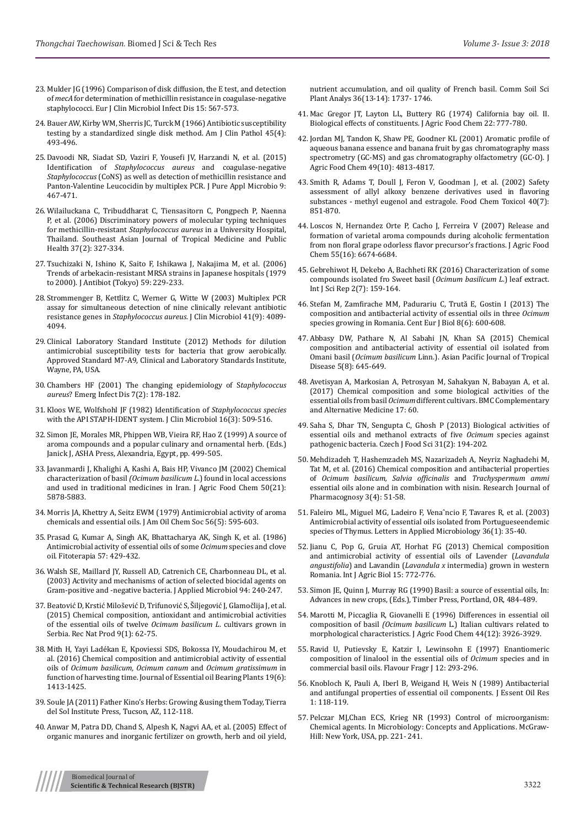- 23. [Mulder JG \(1996\) Comparison of disk diffusion, the E test, and detection](https://www.ncbi.nlm.nih.gov/m/pubmed/8874074/)  of *mecA* [for determination of methicillin resistance in coagulase-negative](https://www.ncbi.nlm.nih.gov/m/pubmed/8874074/)  [staphylococci. Eur J Clin Microbiol Infect Dis 15: 567-573.](https://www.ncbi.nlm.nih.gov/m/pubmed/8874074/)
- 24. [Bauer AW, Kirby WM, Sherris JC, Turck M \(1966\) Antibiotic susceptibility](https://www.ncbi.nlm.nih.gov/pubmed/5325707)  [testing by a standardized single disk method. Am J Clin Pathol 45\(4\):](https://www.ncbi.nlm.nih.gov/pubmed/5325707)  [493-496.](https://www.ncbi.nlm.nih.gov/pubmed/5325707)
- 25. [Davoodi NR, Siadat SD, Vaziri F, Yousefi JV, Harzandi N, et al. \(2015\)](https://www.researchgate.net/publication/272795454_Identification_of_Staphylococcus_aureus_and_Coagulase-negative_Staphylococcus_CoNS_as_well_as_Detection_of_Methicillin_Resistance_and_Panton-Valentine_Leucocidin_by_Multiplex_PCR)  Identification of *[Staphylococcus aureus](https://www.researchgate.net/publication/272795454_Identification_of_Staphylococcus_aureus_and_Coagulase-negative_Staphylococcus_CoNS_as_well_as_Detection_of_Methicillin_Resistance_and_Panton-Valentine_Leucocidin_by_Multiplex_PCR)* and coagulase-negative *Staphylococcus* [\(CoNS\) as well as detection of methicillin resistance and](https://www.researchgate.net/publication/272795454_Identification_of_Staphylococcus_aureus_and_Coagulase-negative_Staphylococcus_CoNS_as_well_as_Detection_of_Methicillin_Resistance_and_Panton-Valentine_Leucocidin_by_Multiplex_PCR)  [Panton-Valentine Leucocidin by multiplex PCR. J Pure Appl Microbio 9:](https://www.researchgate.net/publication/272795454_Identification_of_Staphylococcus_aureus_and_Coagulase-negative_Staphylococcus_CoNS_as_well_as_Detection_of_Methicillin_Resistance_and_Panton-Valentine_Leucocidin_by_Multiplex_PCR)  [467-471.](https://www.researchgate.net/publication/272795454_Identification_of_Staphylococcus_aureus_and_Coagulase-negative_Staphylococcus_CoNS_as_well_as_Detection_of_Methicillin_Resistance_and_Panton-Valentine_Leucocidin_by_Multiplex_PCR)
- 26. [Wilailuckana C, Tribuddharat C, Tiensasitorn C, Pongpech P, Naenna](https://www.ncbi.nlm.nih.gov/pubmed/17124994)  [P, et al. \(2006\) Discriminatory powers of molecular typing techniques](https://www.ncbi.nlm.nih.gov/pubmed/17124994)  for methicillin-resistant *Staphylococcus aureus* in a University Hospital, [Thailand. Southeast Asian Journal of Tropical Medicine and Public](https://www.ncbi.nlm.nih.gov/pubmed/17124994)  [Health 37\(2\): 327-334.](https://www.ncbi.nlm.nih.gov/pubmed/17124994)
- 27. [Tsuchizaki N, Ishino K, Saito F, Ishikawa J, Nakajima M, et al. \(2006\)](https://www.nature.com/articles/ja200632)  [Trends of arbekacin-resistant MRSA strains in Japanese hospitals \(1979](https://www.nature.com/articles/ja200632)  [to 2000\). J Antibiot \(Tokyo\) 59: 229-233.](https://www.nature.com/articles/ja200632)
- 28. [Strommenger B, Kettlitz C, Werner G, Witte W \(2003\) Multiplex PCR](https://www.ncbi.nlm.nih.gov/pubmed/12958230)  [assay for simultaneous detection of nine clinically relevant antibiotic](https://www.ncbi.nlm.nih.gov/pubmed/12958230)  resistance genes in *Staphylococcus aureus*[. J Clin Microbiol 41\(9\): 4089-](https://www.ncbi.nlm.nih.gov/pubmed/12958230) [4094.](https://www.ncbi.nlm.nih.gov/pubmed/12958230)
- 29. Clinical Laboratory Standard Institute (2012) Methods for dilution antimicrobial susceptibility tests for bacteria that grow aerobically. Approved Standard M7-A9, Clinical and Laboratory Standards Institute, Wayne, PA, USA.
- 30. [Chambers HF \(2001\) The changing epidemiology of S](https://www.ncbi.nlm.nih.gov/pubmed/11294701)*taphylococcus aureus*[? Emerg Infect Dis 7\(2\): 178-182.](https://www.ncbi.nlm.nih.gov/pubmed/11294701)
- 31. [Kloos WE, Wolfshohl JF \(1982\) Identification of](https://www.ncbi.nlm.nih.gov/pmc/articles/PMC272399/) *Staphylococcus species*  [with the API STAPH-IDENT system. J Clin Microbiol 16\(3\): 509-516.](https://www.ncbi.nlm.nih.gov/pmc/articles/PMC272399/)
- 32. Simon JE, Morales MR, Phippen WB, Vieira RF, Hao Z (1999) A source of aroma compounds and a popular culinary and ornamental herb. (Eds.) Janick J, ASHA Press, Alexandria, Egypt, pp. 499-505.
- 33. [Javanmardi J, Khalighi A, Kashi A, Bais HP, Vivanco JM \(2002\) Chemical](https://www.ncbi.nlm.nih.gov/pubmed/12358453)  characterization of basil *(Ocimum basilicum L*.) found in local accessions [and used in traditional medicines in Iran. J Agric Food Chem 50\(21\):](https://www.ncbi.nlm.nih.gov/pubmed/12358453)  [5878-5883.](https://www.ncbi.nlm.nih.gov/pubmed/12358453)
- 34. [Morris JA, Khettry A, Seitz EWM \(1979\) Antimicrobial activity of aroma](https://link.springer.com/article/10.1007/BF02660245)  [chemicals and essential oils. J Am Oil Chem Soc 56\(5\): 595-603.](https://link.springer.com/article/10.1007/BF02660245)
- 35. Prasad G, Kumar A, Singh AK, Bhattacharya AK, Singh K, et al. (1986) Antimicrobial activity of essential oils of some *Ocimum* species and clove oil. Fitoterapia 57: 429-432.
- 36. Walsh SE, Maillard JY, Russell AD, Catrenich CE, Charbonneau DL, et al. (2003) Activity and mechanisms of action of selected biocidal agents on Gram-positive and -negative bacteria. J Applied Microbiol 94: 240-247.
- 37. [Beatović D, Krstić Milošević D, Trifunović S, Šiljegović J, Glamočlija J, et al.](http://www.acgpubs.org/RNP/2015/Volume9/Issue%201/5-RNP-EO_1208-054.pdf)  [\(2015\) Chemical composition, antioxidant and antimicrobial activities](http://www.acgpubs.org/RNP/2015/Volume9/Issue%201/5-RNP-EO_1208-054.pdf)  [of the essential oils of twelve](http://www.acgpubs.org/RNP/2015/Volume9/Issue%201/5-RNP-EO_1208-054.pdf) *Ocimum basilicum L*. cultivars grown in [Serbia. Rec Nat Prod 9\(1\): 62-75.](http://www.acgpubs.org/RNP/2015/Volume9/Issue%201/5-RNP-EO_1208-054.pdf)
- 38. [Mith H, Yayi Ladékan E, Kpoviessi SDS, Bokossa IY, Moudachirou M, et](https://www.researchgate.net/publication/311247851_Chemical_Composition_and_Antimicrobial_Activity_of_Essential_Oils_of_Ocimum_basilicum_Ocimum_canum_and_Ocimum_gratissimum_in_Function_of_Harvesting_Time)  [al. \(2016\) Chemical composition and antimicrobial activity of essential](https://www.researchgate.net/publication/311247851_Chemical_Composition_and_Antimicrobial_Activity_of_Essential_Oils_of_Ocimum_basilicum_Ocimum_canum_and_Ocimum_gratissimum_in_Function_of_Harvesting_Time)  oils of *[Ocimum basilicum, Ocimum canum](https://www.researchgate.net/publication/311247851_Chemical_Composition_and_Antimicrobial_Activity_of_Essential_Oils_of_Ocimum_basilicum_Ocimum_canum_and_Ocimum_gratissimum_in_Function_of_Harvesting_Time)* and *Ocimum gratissimum* in [function of harvesting time. Journal of Essential oil Bearing Plants 19\(6\):](https://www.researchgate.net/publication/311247851_Chemical_Composition_and_Antimicrobial_Activity_of_Essential_Oils_of_Ocimum_basilicum_Ocimum_canum_and_Ocimum_gratissimum_in_Function_of_Harvesting_Time)  [1413-1425.](https://www.researchgate.net/publication/311247851_Chemical_Composition_and_Antimicrobial_Activity_of_Essential_Oils_of_Ocimum_basilicum_Ocimum_canum_and_Ocimum_gratissimum_in_Function_of_Harvesting_Time)
- 39. Soule JA (2011) Father Kino's Herbs: Growing &using them Today, Tierra del Sol Institute Press, Tucson, AZ, 112-118.
- 40. [Anwar M, Patra DD, Chand S, Alpesh K, Nagvi AA, et al. \(2005\) Effect of](https://www.researchgate.net/publication/249074009_Effect_of_Organic_Manures_and_Inorganic_Fertilizer_on_Growth_Herb_and_Oil_Yield_Nutrient_Accumulation_and_Oil_Quality_of_French_Basil)  [organic manures and inorganic fertilizer on growth, herb and oil yield,](https://www.researchgate.net/publication/249074009_Effect_of_Organic_Manures_and_Inorganic_Fertilizer_on_Growth_Herb_and_Oil_Yield_Nutrient_Accumulation_and_Oil_Quality_of_French_Basil)

[nutrient accumulation, and oil quality of French basil. Comm Soil Sci](https://www.researchgate.net/publication/249074009_Effect_of_Organic_Manures_and_Inorganic_Fertilizer_on_Growth_Herb_and_Oil_Yield_Nutrient_Accumulation_and_Oil_Quality_of_French_Basil) [Plant Analys 36\(13-14\): 1737- 1746.](https://www.researchgate.net/publication/249074009_Effect_of_Organic_Manures_and_Inorganic_Fertilizer_on_Growth_Herb_and_Oil_Yield_Nutrient_Accumulation_and_Oil_Quality_of_French_Basil)

- 41. Mac Gregor JT, Layton LL, Buttery RG (1974) California bay oil. II. Biological effects of constituents. J Agric Food Chem 22: 777-780.
- 42. [Jordan MJ, Tandon K, Shaw PE, Goodner KL \(2001\) Aromatic profile of](https://pubs.acs.org/doi/abs/10.1021/jf010471k) [aqueous banana essence and banana fruit by gas chromatography mass](https://pubs.acs.org/doi/abs/10.1021/jf010471k) [spectrometry \(GC-MS\) and gas chromatography olfactometry \(GC-O\). J](https://pubs.acs.org/doi/abs/10.1021/jf010471k) [Agric Food Chem 49\(10\): 4813-4817.](https://pubs.acs.org/doi/abs/10.1021/jf010471k)
- 43. [Smith R, Adams T, Doull J, Feron V, Goodman J, et al. \(2002\) Safety](https://www.ncbi.nlm.nih.gov/pubmed/12065208) [assessment of allyl alkoxy benzene derivatives used in flavoring](https://www.ncbi.nlm.nih.gov/pubmed/12065208) [substances - methyl eugenol and estragole. Food Chem Toxicol 40\(7\):](https://www.ncbi.nlm.nih.gov/pubmed/12065208) [851-870.](https://www.ncbi.nlm.nih.gov/pubmed/12065208)
- 44. [Loscos N, Hernandez Orte P, Cacho J, Ferreira V \(2007\) Release and](https://www.ncbi.nlm.nih.gov/pubmed/17616208) [formation of varietal aroma compounds during alcoholic fermentation](https://www.ncbi.nlm.nih.gov/pubmed/17616208) [from non floral grape odorless flavor precursor's fractions. J Agric Food](https://www.ncbi.nlm.nih.gov/pubmed/17616208) [Chem 55\(16\): 6674-6684.](https://www.ncbi.nlm.nih.gov/pubmed/17616208)
- 45. [Gebrehiwot H, Dekebo A, Bachheti RK \(2016\) Characterization of some](http://www.sci-rep.com/index.php/scirep/article/view/188/107) [compounds isolated fro Sweet basil \(](http://www.sci-rep.com/index.php/scirep/article/view/188/107)*Ocimum basilicum L*.) leaf extract. [Int J Sci Rep 2\(7\): 159-164.](http://www.sci-rep.com/index.php/scirep/article/view/188/107)
- 46. [Stefan M, Zamfirache MM, Padurariu C, Trută E, Gostin I \(2013\) The](https://link.springer.com/article/10.2478/s11535-013-0171-8) [composition and antibacterial activity of essential oils in three](https://link.springer.com/article/10.2478/s11535-013-0171-8) *Ocimum* [species growing in Romania. Cent Eur J Biol 8\(6\): 600-608.](https://link.springer.com/article/10.2478/s11535-013-0171-8)
- 47. [Abbasy DW, Pathare N, Al Sabahi JN, Khan SA \(2015\) Chemical](https://www.sciencedirect.com/science/article/pii/S2222180815609057) [composition and antibacterial activity of essential oil isolated from](https://www.sciencedirect.com/science/article/pii/S2222180815609057) Omani basil (*Ocimum basilicum* [Linn.\). Asian Pacific Journal of Tropical](https://www.sciencedirect.com/science/article/pii/S2222180815609057) [Disease 5\(8\): 645-649.](https://www.sciencedirect.com/science/article/pii/S2222180815609057)
- 48. [Avetisyan A, Markosian A, Petrosyan M, Sahakyan N, Babayan A, et al.](https://bmccomplementalternmed.biomedcentral.com/articles/10.1186/s12906-017-1587-5) [\(2017\) Chemical composition and some biological activities of the](https://bmccomplementalternmed.biomedcentral.com/articles/10.1186/s12906-017-1587-5) essential oils from basil *Ocimum* [different cultivars. BMC Complementary](https://bmccomplementalternmed.biomedcentral.com/articles/10.1186/s12906-017-1587-5) [and Alternative Medicine 17: 60.](https://bmccomplementalternmed.biomedcentral.com/articles/10.1186/s12906-017-1587-5)
- 49. [Saha S, Dhar TN, Sengupta C, Ghosh P \(2013\) Biological activities of](http://www.agriculturejournals.cz/publicFiles/89890.pdf) [essential oils and methanol extracts of five](http://www.agriculturejournals.cz/publicFiles/89890.pdf) *Ocimum* species against [pathogenic bacteria. Czech J Food Sci 31\(2\): 194-202.](http://www.agriculturejournals.cz/publicFiles/89890.pdf)
- 50. [Mehdizadeh T, Hashemzadeh MS, Nazarizadeh A, Neyriz Naghadehi M,](http://www.rjpharmacognosy.ir/article_33358_2071.html) [Tat M, et al. \(2016\) Chemical composition and antibacterial properties](http://www.rjpharmacognosy.ir/article_33358_2071.html) of *[Ocimum basilicum, Salvia officinalis](http://www.rjpharmacognosy.ir/article_33358_2071.html)* and *Trachyspermum ammi* [essential oils alone and in combination with nisin. Research Journal of](http://www.rjpharmacognosy.ir/article_33358_2071.html) [Pharmacognosy 3\(4\): 51-58.](http://www.rjpharmacognosy.ir/article_33358_2071.html)
- 51. [Faleiro ML, Miguel MG, Ladeiro F, Venaˆncio F, Tavares R, et al. \(2003\)](https://www.ncbi.nlm.nih.gov/pubmed/12485339) [Antimicrobial activity of essential oils isolated from Portugueseendemic](https://www.ncbi.nlm.nih.gov/pubmed/12485339) [species of Thymus. Letters in Applied Microbiology 36\(1\): 35-40.](https://www.ncbi.nlm.nih.gov/pubmed/12485339)
- 52. [Jianu C, Pop G, Gruia AT, Horhat FG \(2013\) Chemical composition](http://jonnsaromatherapy.com/pdf/Jianu_Chemical_Composition_Antimicrobial_Activity_Lavender_2013.pdf) [and antimicrobial activity of essential oils of Lavender \(](http://jonnsaromatherapy.com/pdf/Jianu_Chemical_Composition_Antimicrobial_Activity_Lavender_2013.pdf)*Lavandula angustifolia*) and Lavandin (*Lavandula x* [intermedia\) grown in western](http://jonnsaromatherapy.com/pdf/Jianu_Chemical_Composition_Antimicrobial_Activity_Lavender_2013.pdf) [Romania. Int J Agric Biol 15: 772-776.](http://jonnsaromatherapy.com/pdf/Jianu_Chemical_Composition_Antimicrobial_Activity_Lavender_2013.pdf)
- 53. Simon JE, Quinn J, Murray RG (1990) Basil: a source of essential oils, In: Advances in new crops, (Eds.), Timber Press, Portland, OR, 484-489.
- 54. [Marotti M, Piccaglia R, Giovanelli E \(1996\) Differences in essential oil](https://pubs.acs.org/doi/abs/10.1021/jf9601067) composition of basil *(Ocimum basilicum* [L.\) Italian cultivars related to](https://pubs.acs.org/doi/abs/10.1021/jf9601067) [morphological characteristics. J Agric Food Chem 44\(12\): 3926-3929.](https://pubs.acs.org/doi/abs/10.1021/jf9601067)
- 55. [Ravid U, Putievsky E, Katzir I, Lewinsohn E \(1997\) Enantiomeric](http://agris.fao.org/agris-search/search.do?recordID=GB1997027437) [composition of linalool in the essential oils of](http://agris.fao.org/agris-search/search.do?recordID=GB1997027437) *Ocimum* species and in [commercial basil oils. Flavour Fragr J 12: 293-296.](http://agris.fao.org/agris-search/search.do?recordID=GB1997027437)
- 56. Knobloch K, Pauli A, Iberl B, Weigand H, Weis N (1989) Antibacterial and antifungal properties of essential oil components. J Essent Oil Res 1: 118-119.
- 57. Pelczar MJ,Chan ECS, Krieg NR (1993) Control of microorganism: Chemical agents. In Microbiology: Concepts and Applications. McGraw-Hill: New York, USA, pp. 221- 241.